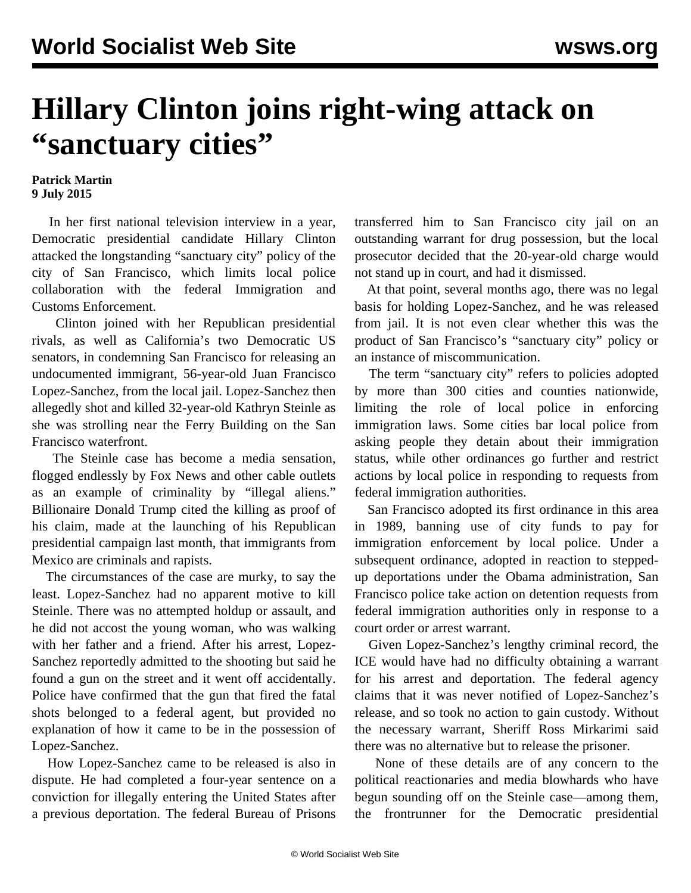## **Hillary Clinton joins right-wing attack on "sanctuary cities"**

## **Patrick Martin 9 July 2015**

 In her first national television interview in a year, Democratic presidential candidate Hillary Clinton attacked the longstanding "sanctuary city" policy of the city of San Francisco, which limits local police collaboration with the federal Immigration and Customs Enforcement.

 Clinton joined with her Republican presidential rivals, as well as California's two Democratic US senators, in condemning San Francisco for releasing an undocumented immigrant, 56-year-old Juan Francisco Lopez-Sanchez, from the local jail. Lopez-Sanchez then allegedly shot and killed 32-year-old Kathryn Steinle as she was strolling near the Ferry Building on the San Francisco waterfront.

 The Steinle case has become a media sensation, flogged endlessly by Fox News and other cable outlets as an example of criminality by "illegal aliens." Billionaire Donald [Trump](/en/articles/2015/07/09/trum-j09.html) cited the killing as proof of his claim, made at the launching of his Republican presidential campaign last month, that immigrants from Mexico are criminals and rapists.

 The circumstances of the case are murky, to say the least. Lopez-Sanchez had no apparent motive to kill Steinle. There was no attempted holdup or assault, and he did not accost the young woman, who was walking with her father and a friend. After his arrest, Lopez-Sanchez reportedly admitted to the shooting but said he found a gun on the street and it went off accidentally. Police have confirmed that the gun that fired the fatal shots belonged to a federal agent, but provided no explanation of how it came to be in the possession of Lopez-Sanchez.

 How Lopez-Sanchez came to be released is also in dispute. He had completed a four-year sentence on a conviction for illegally entering the United States after a previous deportation. The federal Bureau of Prisons transferred him to San Francisco city jail on an outstanding warrant for drug possession, but the local prosecutor decided that the 20-year-old charge would not stand up in court, and had it dismissed.

 At that point, several months ago, there was no legal basis for holding Lopez-Sanchez, and he was released from jail. It is not even clear whether this was the product of San Francisco's "sanctuary city" policy or an instance of miscommunication.

 The term "sanctuary city" refers to policies adopted by more than 300 cities and counties nationwide, limiting the role of local police in enforcing immigration laws. Some cities bar local police from asking people they detain about their immigration status, while other ordinances go further and restrict actions by local police in responding to requests from federal immigration authorities.

 San Francisco adopted its first ordinance in this area in 1989, banning use of city funds to pay for immigration enforcement by local police. Under a subsequent ordinance, adopted in reaction to steppedup deportations under the Obama administration, San Francisco police take action on detention requests from federal immigration authorities only in response to a court order or arrest warrant.

 Given Lopez-Sanchez's lengthy criminal record, the ICE would have had no difficulty obtaining a warrant for his arrest and deportation. The federal agency claims that it was never notified of Lopez-Sanchez's release, and so took no action to gain custody. Without the necessary warrant, Sheriff Ross Mirkarimi said there was no alternative but to release the prisoner.

 None of these details are of any concern to the political reactionaries and media blowhards who have begun sounding off on the Steinle case—among them, the frontrunner for the Democratic presidential